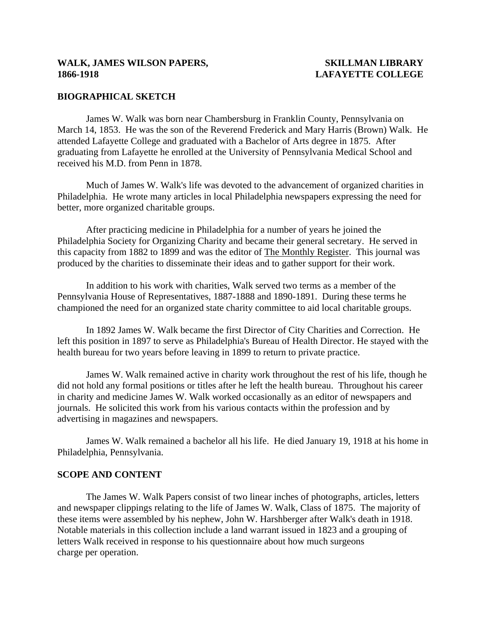## WALK, JAMES WILSON PAPERS, SKILLMAN LIBRARY **1866-1918 LAFAYETTE COLLEGE**

## **BIOGRAPHICAL SKETCH**

 James W. Walk was born near Chambersburg in Franklin County, Pennsylvania on March 14, 1853. He was the son of the Reverend Frederick and Mary Harris (Brown) Walk. He attended Lafayette College and graduated with a Bachelor of Arts degree in 1875. After graduating from Lafayette he enrolled at the University of Pennsylvania Medical School and received his M.D. from Penn in 1878.

 Much of James W. Walk's life was devoted to the advancement of organized charities in Philadelphia. He wrote many articles in local Philadelphia newspapers expressing the need for better, more organized charitable groups.

 After practicing medicine in Philadelphia for a number of years he joined the Philadelphia Society for Organizing Charity and became their general secretary. He served in this capacity from 1882 to 1899 and was the editor of The Monthly Register. This journal was produced by the charities to disseminate their ideas and to gather support for their work.

 In addition to his work with charities, Walk served two terms as a member of the Pennsylvania House of Representatives, 1887-1888 and 1890-1891. During these terms he championed the need for an organized state charity committee to aid local charitable groups.

 In 1892 James W. Walk became the first Director of City Charities and Correction. He left this position in 1897 to serve as Philadelphia's Bureau of Health Director. He stayed with the health bureau for two years before leaving in 1899 to return to private practice.

 James W. Walk remained active in charity work throughout the rest of his life, though he did not hold any formal positions or titles after he left the health bureau. Throughout his career in charity and medicine James W. Walk worked occasionally as an editor of newspapers and journals. He solicited this work from his various contacts within the profession and by advertising in magazines and newspapers.

 James W. Walk remained a bachelor all his life. He died January 19, 1918 at his home in Philadelphia, Pennsylvania.

### **SCOPE AND CONTENT**

 The James W. Walk Papers consist of two linear inches of photographs, articles, letters and newspaper clippings relating to the life of James W. Walk, Class of 1875. The majority of these items were assembled by his nephew, John W. Harshberger after Walk's death in 1918. Notable materials in this collection include a land warrant issued in 1823 and a grouping of letters Walk received in response to his questionnaire about how much surgeons charge per operation.